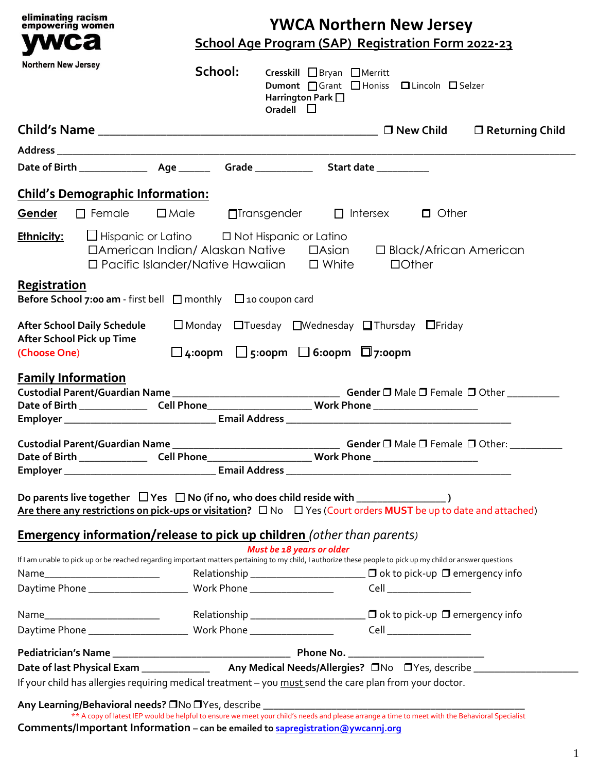| eliminating racism<br>empowering women                                                         |                           | <b>YWCA Northern New Jersey</b>                                                                                                                                                                                                  |
|------------------------------------------------------------------------------------------------|---------------------------|----------------------------------------------------------------------------------------------------------------------------------------------------------------------------------------------------------------------------------|
| wca                                                                                            |                           | School Age Program (SAP) Registration Form 2022-23                                                                                                                                                                               |
| <b>Northern New Jersey</b>                                                                     | School:                   | Cresskill □ Bryan □ Merritt<br>Dumont □ Grant □ Honiss □ Lincoln □ Selzer<br>Harrington Park $\square$<br>Oradell $\Box$                                                                                                         |
|                                                                                                |                           | □ Returning Child                                                                                                                                                                                                                |
|                                                                                                |                           |                                                                                                                                                                                                                                  |
|                                                                                                |                           |                                                                                                                                                                                                                                  |
| <b>Child's Demographic Information:</b>                                                        |                           |                                                                                                                                                                                                                                  |
| Gender                                                                                         | $\Box$ Female $\Box$ Male | $\Box$ Transgender $\Box$ Intersex $\Box$ Other                                                                                                                                                                                  |
|                                                                                                |                           |                                                                                                                                                                                                                                  |
| <b>Ethnicity:</b> $\Box$ Hispanic or Latino $\Box$ Not Hispanic or Latino                      |                           | □ American Indian/ Alaskan Native □ Asian □ Black/African American<br>$\Box$ Pacific Islander/Native Hawaiian $\Box$ White<br>$\Box$ Other                                                                                       |
| Registration<br><b>Before School 7:00 am</b> - first bell $\Box$ monthly $\Box$ 10 coupon card |                           |                                                                                                                                                                                                                                  |
| <b>After School Daily Schedule</b><br>After School Pick up Time                                |                           | $\square$ Monday $\square$ Tuesday $\square$ Wednesday $\square$ Thursday $\square$ Friday                                                                                                                                       |
| (Choose One)                                                                                   |                           | $\Box$ 4:00pm $\Box$ 5:00pm $\Box$ 6:00pm $\Box$ 7:00pm                                                                                                                                                                          |
| <b>Family Information</b>                                                                      |                           | Date of Birth _____________________Cell Phone___________________________Work Phone ___________________________                                                                                                                   |
|                                                                                                |                           |                                                                                                                                                                                                                                  |
| <b>Custodial Parent/Guardian Name</b>                                                          |                           | Gender $\square$ Male $\square$ Female $\square$ Other:                                                                                                                                                                          |
|                                                                                                |                           | Date of Birth _____________________Cell Phone___________________________Work Phone ___________________________                                                                                                                   |
|                                                                                                |                           | Are there any restrictions on pick-ups or visitation? $\Box$ No $\Box$ Yes (Court orders MUST be up to date and attached)                                                                                                        |
|                                                                                                |                           | <b>Emergency information/release to pick up children</b> (other than parents)                                                                                                                                                    |
|                                                                                                |                           | Must be 18 years or older<br>If I am unable to pick up or be reached regarding important matters pertaining to my child, I authorize these people to pick up my child or answer questions                                        |
|                                                                                                |                           | Relationship $\Box$ $\Box$ $\Box$ $\Box$ ok to pick-up $\Box$ emergency info                                                                                                                                                     |
|                                                                                                |                           |                                                                                                                                                                                                                                  |
|                                                                                                |                           |                                                                                                                                                                                                                                  |
|                                                                                                |                           |                                                                                                                                                                                                                                  |
|                                                                                                |                           |                                                                                                                                                                                                                                  |
|                                                                                                |                           |                                                                                                                                                                                                                                  |
|                                                                                                |                           | If your child has allergies requiring medical treatment - you must send the care plan from your doctor.                                                                                                                          |
|                                                                                                |                           |                                                                                                                                                                                                                                  |
|                                                                                                |                           | ** A copy of latest IEP would be helpful to ensure we meet your child's needs and please arrange a time to meet with the Behavioral Specialist<br>Comments/Important Information - can be emailed to sapregistration@ywcannj.org |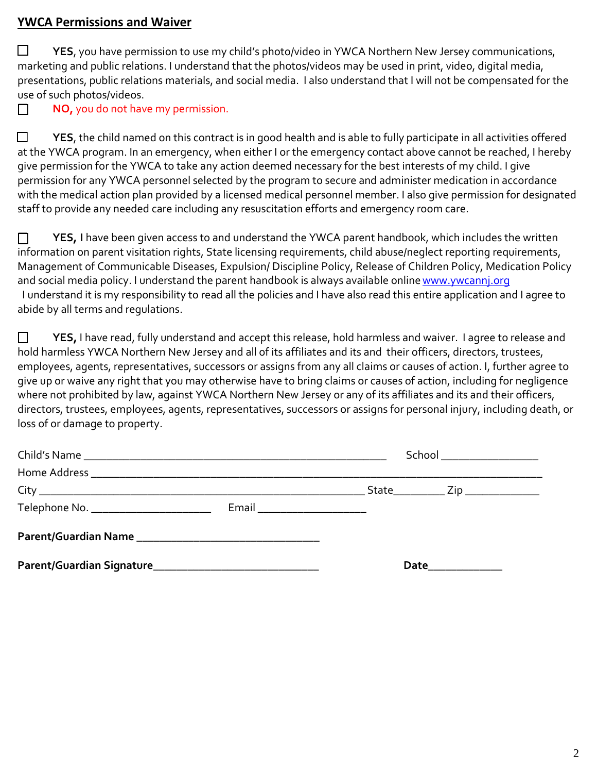## **YWCA Permissions and Waiver**

 **YES**, you have permission to use my child's photo/video in YWCA Northern New Jersey communications, marketing and public relations. I understand that the photos/videos may be used in print, video, digital media, presentations, public relations materials, and social media. I also understand that I will not be compensated for the use of such photos/videos.

**NO**, you do not have my permission.

**The PTS**, the child named on this contract is in good health and is able to fully participate in all activities offered at the YWCA program. In an emergency, when either I or the emergency contact above cannot be reached, I hereby give permission for the YWCA to take any action deemed necessary for the best interests of my child. I give permission for any YWCA personnel selected by the program to secure and administer medication in accordance with the medical action plan provided by a licensed medical personnel member. I also give permission for designated staff to provide any needed care including any resuscitation efforts and emergency room care.

**T** YES, I have been given access to and understand the YWCA parent handbook, which includes the written information on parent visitation rights, State licensing requirements, child abuse/neglect reporting requirements, Management of Communicable Diseases, Expulsion/ Discipline Policy, Release of Children Policy, Medication Policy and social media policy. I understand the parent handbook is always available online www.ywcannj.org I understand it is my responsibility to read all the policies and I have also read this entire application and I agree to abide by all terms and regulations.

**The YES,** I have read, fully understand and accept this release, hold harmless and waiver. I agree to release and hold harmless YWCA Northern New Jersey and all of its affiliates and its and their officers, directors, trustees, employees, agents, representatives, successors or assigns from any all claims or causes of action. I, further agree to give up or waive any right that you may otherwise have to bring claims or causes of action, including for negligence where not prohibited by law, against YWCA Northern New Jersey or any of its affiliates and its and their officers, directors, trustees, employees, agents, representatives, successors or assigns for personal injury, including death, or loss of or damage to property.

|                               | School ____________________ |  |
|-------------------------------|-----------------------------|--|
|                               |                             |  |
|                               |                             |  |
| Email _______________________ |                             |  |
|                               |                             |  |
|                               | Date_____________           |  |